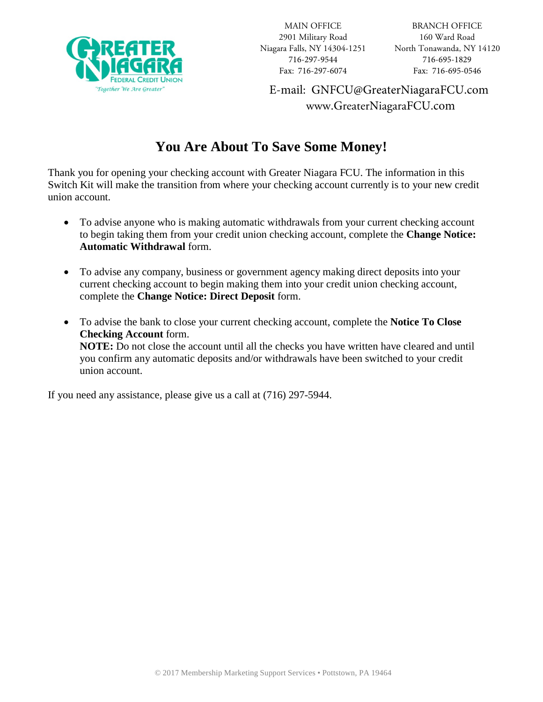

E-mail: GNFCU@GreaterNiagaraFCU.com www.GreaterNiagaraFCU.com

## **You Are About To Save Some Money!**

Thank you for opening your checking account with Greater Niagara FCU. The information in this Switch Kit will make the transition from where your checking account currently is to your new credit union account.

- To advise anyone who is making automatic withdrawals from your current checking account to begin taking them from your credit union checking account, complete the **Change Notice: Automatic Withdrawal** form.
- To advise any company, business or government agency making direct deposits into your current checking account to begin making them into your credit union checking account, complete the **Change Notice: Direct Deposit** form.
- To advise the bank to close your current checking account, complete the **Notice To Close Checking Account** form. **NOTE:** Do not close the account until all the checks you have written have cleared and until you confirm any automatic deposits and/or withdrawals have been switched to your credit union account.

If you need any assistance, please give us a call at (716) 297-5944.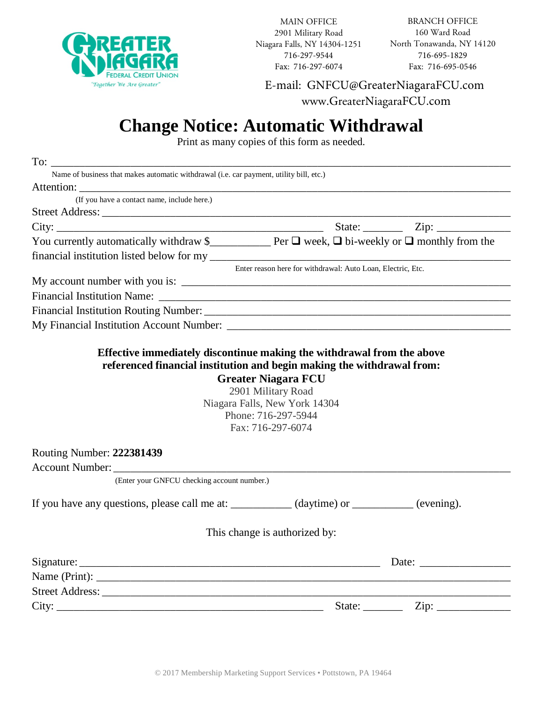

MAIN OFFICE 2901 Military Road Niagara Falls, NY 14304-1251 716-297-9544 Fax: 716-297-6074

E-mail: GNFCU@GreaterNiagaraFCU.com www.GreaterNiagaraFCU.com

## **Change Notice: Automatic Withdrawal**

Print as many copies of this form as needed.

| Name of business that makes automatic withdrawal (i.e. car payment, utility bill, etc.)                            |                                                                           |  |
|--------------------------------------------------------------------------------------------------------------------|---------------------------------------------------------------------------|--|
|                                                                                                                    |                                                                           |  |
| (If you have a contact name, include here.)                                                                        |                                                                           |  |
|                                                                                                                    |                                                                           |  |
|                                                                                                                    |                                                                           |  |
| You currently automatically withdraw \$<br><u>Der</u> Der $\Box$ week, $\Box$ bi-weekly or $\Box$ monthly from the |                                                                           |  |
|                                                                                                                    |                                                                           |  |
|                                                                                                                    | Enter reason here for withdrawal: Auto Loan, Electric, Etc.               |  |
|                                                                                                                    |                                                                           |  |
|                                                                                                                    |                                                                           |  |
|                                                                                                                    |                                                                           |  |
|                                                                                                                    |                                                                           |  |
| Routing Number: 222381439                                                                                          | Niagara Falls, New York 14304<br>Phone: 716-297-5944<br>Fax: 716-297-6074 |  |
|                                                                                                                    |                                                                           |  |
| (Enter your GNFCU checking account number.)                                                                        |                                                                           |  |
| If you have any questions, please call me at: __________ (daytime) or ________ (evening).                          |                                                                           |  |
|                                                                                                                    | This change is authorized by:                                             |  |
|                                                                                                                    |                                                                           |  |
|                                                                                                                    |                                                                           |  |
|                                                                                                                    |                                                                           |  |
|                                                                                                                    |                                                                           |  |
|                                                                                                                    |                                                                           |  |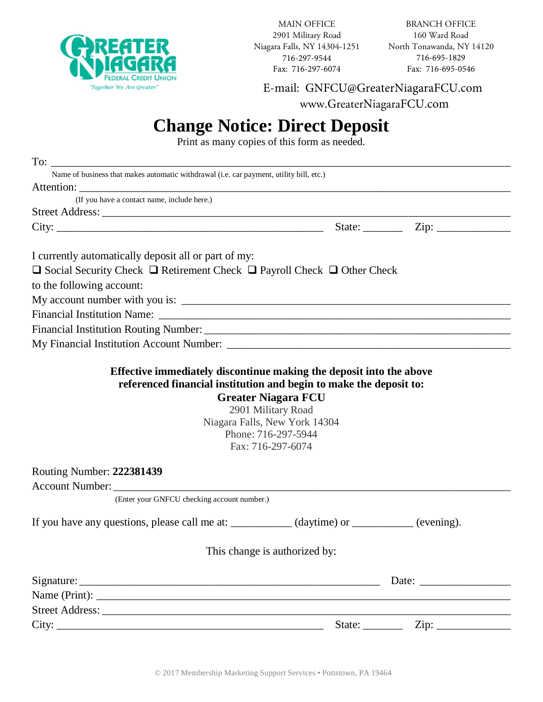

MAIN OFFICE 2901 Military Road Niagara Falls, NY 14304-1251 716-297-9544 Fax: 716-297-6074

BRANCH OFFICE 160 Ward Road North Tonawanda, NY 14120 716-695-1829 Fax: 716-695-0546

E-mail: GNFCU@GreaterNiagaraFCU.com

www.GreaterNiagaraFCU.com

## **Change Notice: Direct Deposit**

Print as many copies of this form as needed.

| Name of business that makes automatic withdrawal (i.e. car payment, utility bill, etc.)                                                                                                                                                                                    |                        |                                                   |
|----------------------------------------------------------------------------------------------------------------------------------------------------------------------------------------------------------------------------------------------------------------------------|------------------------|---------------------------------------------------|
|                                                                                                                                                                                                                                                                            |                        |                                                   |
| (If you have a contact name, include here.)                                                                                                                                                                                                                                |                        |                                                   |
|                                                                                                                                                                                                                                                                            |                        |                                                   |
|                                                                                                                                                                                                                                                                            |                        | State: $\qquad \qquad \text{Zip: } \qquad \qquad$ |
| I currently automatically deposit all or part of my:                                                                                                                                                                                                                       |                        |                                                   |
| $\Box$ Social Security Check $\Box$ Retirement Check $\Box$ Payroll Check $\Box$ Other Check                                                                                                                                                                               |                        |                                                   |
| to the following account:                                                                                                                                                                                                                                                  |                        |                                                   |
|                                                                                                                                                                                                                                                                            |                        |                                                   |
|                                                                                                                                                                                                                                                                            |                        |                                                   |
|                                                                                                                                                                                                                                                                            |                        |                                                   |
|                                                                                                                                                                                                                                                                            |                        |                                                   |
| Effective immediately discontinue making the deposit into the above<br>referenced financial institution and begin to make the deposit to:<br><b>Greater Niagara FCU</b><br>2901 Military Road<br>Niagara Falls, New York 14304<br>Phone: 716-297-5944<br>Fax: 716-297-6074 |                        |                                                   |
| <b>Routing Number: 222381439</b>                                                                                                                                                                                                                                           |                        |                                                   |
|                                                                                                                                                                                                                                                                            |                        |                                                   |
| (Enter your GNFCU checking account number.)                                                                                                                                                                                                                                |                        |                                                   |
| If you have any questions, please call me at: __________ (daytime) or ________ (evening).                                                                                                                                                                                  |                        |                                                   |
| This change is authorized by:                                                                                                                                                                                                                                              |                        |                                                   |
|                                                                                                                                                                                                                                                                            |                        |                                                   |
|                                                                                                                                                                                                                                                                            |                        |                                                   |
|                                                                                                                                                                                                                                                                            |                        |                                                   |
|                                                                                                                                                                                                                                                                            | State: $\qquad \qquad$ |                                                   |